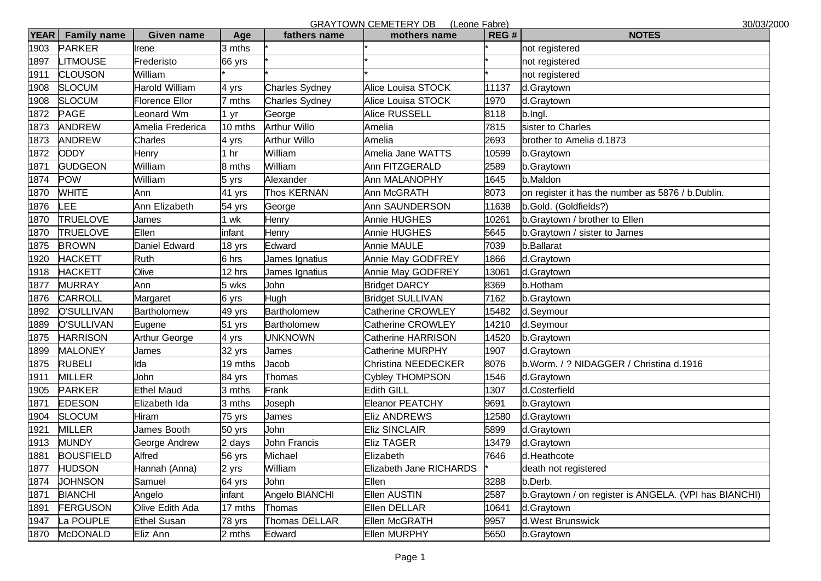GRAYTOWN CEMETERY DR (Leone Fabre)

| <b>YEAR</b> | <b>Family name</b> | <b>Given name</b>  | Age     | fathers name          | GIVAT TOWN CLIVILTERT DD (LEGIC LADIE)<br>mothers name | REG#  | י∠ וטעט<br><b>NOTES</b>                               |
|-------------|--------------------|--------------------|---------|-----------------------|--------------------------------------------------------|-------|-------------------------------------------------------|
| 1903        | <b>PARKER</b>      | Irene              | 3 mths  |                       |                                                        |       | not registered                                        |
| 1897        | <b>LITMOUSE</b>    | Frederisto         | 66 yrs  |                       |                                                        |       | not registered                                        |
| 1911        | <b>CLOUSON</b>     | William            |         |                       |                                                        |       | not registered                                        |
| 1908        | <b>SLOCUM</b>      | Harold William     | 4 yrs   | <b>Charles Sydney</b> | <b>Alice Louisa STOCK</b>                              | 11137 | d.Graytown                                            |
| 1908        | <b>SLOCUM</b>      | Florence Ellor     | 7 mths  | <b>Charles Sydney</b> | Alice Louisa STOCK                                     | 1970  | d.Graytown                                            |
| 1872        | <b>PAGE</b>        | eonard Wm          | 1 yr    | George                | <b>Alice RUSSELL</b>                                   | 8118  | b.Ingl.                                               |
| 1873        | <b>ANDREW</b>      | Amelia Frederica   | 10 mths | <b>Arthur Willo</b>   | Amelia                                                 | 7815  | sister to Charles                                     |
| 1873        | <b>ANDREW</b>      | Charles            | 4 yrs   | <b>Arthur Willo</b>   | Amelia                                                 | 2693  | brother to Amelia d.1873                              |
| 1872        | <b>ODDY</b>        | Henry              | hr      | William               | Amelia Jane WATTS                                      | 10599 | b.Graytown                                            |
| 1871        | <b>GUDGEON</b>     | William            | 8 mths  | William               | Ann FITZGERALD                                         | 2589  | b.Graytown                                            |
| 1874        | <b>POW</b>         | William            | 5 yrs   | Alexander             | Ann MALANOPHY                                          | 1645  | b.Maldon                                              |
| 1870        | <b>WHITE</b>       | Ann                | 41 yrs  | Thos KERNAN           | Ann McGRATH                                            | 8073  | on register it has the number as 5876 / b.Dublin.     |
| 1876        | LEE                | Ann Elizabeth      | 54 yrs  | George                | Ann SAUNDERSON                                         | 11638 | b.Gold. (Goldfields?)                                 |
| 1870        | <b>TRUELOVE</b>    | James              | 1 wk    | Henry                 | Annie HUGHES                                           | 10261 | b.Graytown / brother to Ellen                         |
| 1870        | <b>TRUELOVE</b>    | Ellen              | infant  | Henry                 | <b>Annie HUGHES</b>                                    | 5645  | b.Graytown / sister to James                          |
| 1875        | <b>BROWN</b>       | Daniel Edward      | 18 yrs  | <b>Edward</b>         | <b>Annie MAULE</b>                                     | 7039  | b.Ballarat                                            |
| 1920        | <b>HACKETT</b>     | Ruth               | 6 hrs   | James Ignatius        | Annie May GODFREY                                      | 1866  | d.Graytown                                            |
| 1918        | <b>HACKETT</b>     | Olive              | 12 hrs  | James Ignatius        | Annie May GODFREY                                      | 13061 | d.Graytown                                            |
| 1877        | <b>MURRAY</b>      | Ann                | 5 wks   | John                  | <b>Bridget DARCY</b>                                   | 8369  | b.Hotham                                              |
| 1876        | <b>CARROLL</b>     | Margaret           | 6 yrs   | Hugh                  | <b>Bridget SULLIVAN</b>                                | 7162  | b.Graytown                                            |
| 1892        | O'SULLIVAN         | Bartholomew        | 49 yrs  | <b>Bartholomew</b>    | Catherine CROWLEY                                      | 15482 | d.Seymour                                             |
| 1889        | O'SULLIVAN         | Eugene             | 51 yrs  | <b>Bartholomew</b>    | Catherine CROWLEY                                      | 14210 | d.Seymour                                             |
| 1875        | <b>HARRISON</b>    | Arthur George      | 4 yrs   | <b>UNKNOWN</b>        | <b>Catherine HARRISON</b>                              | 14520 | b.Graytown                                            |
| 1899        | <b>MALONEY</b>     | James              | 32 yrs  | James                 | Catherine MURPHY                                       | 1907  | d.Graytown                                            |
| 1875        | <b>RUBELI</b>      | Ida                | 19 mths | Jacob                 | Christina NEEDECKER                                    | 8076  | b.Worm. / ? NIDAGGER / Christina d.1916               |
| 1911        | <b>MILLER</b>      | John               | 84 yrs  | Thomas                | Cybley THOMPSON                                        | 1546  | d.Graytown                                            |
| 1905        | <b>PARKER</b>      | <b>Ethel Maud</b>  | 3 mths  | Frank                 | <b>Edith GILL</b>                                      | 1307  | d.Costerfield                                         |
| 1871        | <b>EDESON</b>      | Elizabeth Ida      | 3 mths  | Joseph                | <b>Eleanor PEATCHY</b>                                 | 9691  | b.Graytown                                            |
| 1904        | <b>SLOCUM</b>      | Hiram              | 75 yrs  | James                 | <b>Eliz ANDREWS</b>                                    | 12580 | d.Graytown                                            |
| 1921        | <b>MILLER</b>      | James Booth        | 50 yrs  | John                  | <b>Eliz SINCLAIR</b>                                   | 5899  | d.Graytown                                            |
| 1913        | <b>MUNDY</b>       | George Andrew      | 2 days  | John Francis          | <b>Eliz TAGER</b>                                      | 13479 | d.Graytown                                            |
| 1881        | <b>BOUSFIELD</b>   | Alfred             | 56 yrs  | Michael               | Elizabeth                                              | 7646  | d.Heathcote                                           |
| 1877        | <b>HUDSON</b>      | Hannah (Anna)      | 2 yrs   | William               | Elizabeth Jane RICHARDS                                |       | death not registered                                  |
| 1874        | <b>JOHNSON</b>     | Samuel             | 64 yrs  | John                  | Ellen                                                  | 3288  | b.Derb.                                               |
| 1871        | <b>BIANCHI</b>     | Angelo             | infant  | Angelo BIANCHI        | <b>Ellen AUSTIN</b>                                    | 2587  | b.Graytown / on register is ANGELA. (VPI has BIANCHI) |
| 1891        | <b>FERGUSON</b>    | Olive Edith Ada    | 17 mths | Thomas                | Ellen DELLAR                                           | 10641 | d.Graytown                                            |
| 1947        | La POUPLE          | <b>Ethel Susan</b> | 78 yrs  | Thomas DELLAR         | Ellen McGRATH                                          | 9957  | d. West Brunswick                                     |
| 1870        | <b>McDONALD</b>    | Eliz Ann           | 2 mths  | Edward                | Ellen MURPHY                                           | 5650  | b.Graytown                                            |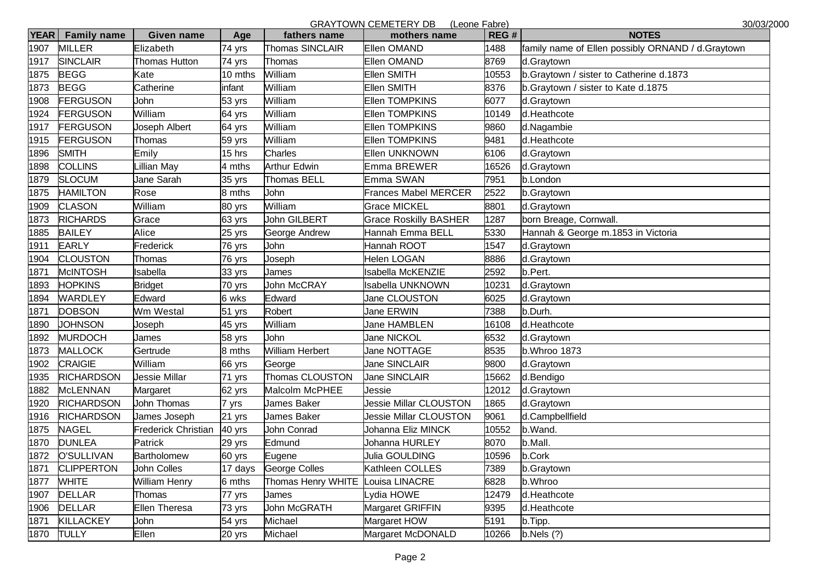GRAYTOWN CEMETERY DB (Leone Fabre) 30/03/2000

| <b>YEAR</b> | <b>Family name</b> | <b>Given name</b>    | Age     | fathers name           | UIMITUWIN ULIWETEINT DD TECUIC LADICI<br>mothers name | REG#  | איט וטט<br><b>NOTES</b>                            |
|-------------|--------------------|----------------------|---------|------------------------|-------------------------------------------------------|-------|----------------------------------------------------|
| 1907        | <b>MILLER</b>      | Elizabeth            | 74 yrs  | Thomas SINCLAIR        | <b>Ellen OMAND</b>                                    | 1488  | family name of Ellen possibly ORNAND / d. Graytown |
| 1917        | <b>SINCLAIR</b>    | <b>Thomas Hutton</b> | 74 yrs  | Thomas                 | <b>Ellen OMAND</b>                                    | 8769  | d.Graytown                                         |
| 1875        | <b>BEGG</b>        | Kate                 | 10 mths | William                | <b>Ellen SMITH</b>                                    | 10553 | b.Graytown / sister to Catherine d.1873            |
| 1873        | <b>BEGG</b>        | Catherine            | infant  | William                | <b>Ellen SMITH</b>                                    | 8376  | b.Graytown / sister to Kate d.1875                 |
| 1908        | <b>FERGUSON</b>    | John                 | 53 yrs  | William                | <b>Ellen TOMPKINS</b>                                 | 6077  | d.Graytown                                         |
| 1924        | <b>FERGUSON</b>    | William              | 64 yrs  | William                | <b>Ellen TOMPKINS</b>                                 | 10149 | d.Heathcote                                        |
| 1917        | <b>FERGUSON</b>    | Joseph Albert        | 64 yrs  | William                | <b>Ellen TOMPKINS</b>                                 | 9860  | d.Nagambie                                         |
| 1915        | <b>FERGUSON</b>    | Thomas               | 59 yrs  | William                | <b>Ellen TOMPKINS</b>                                 | 9481  | d.Heathcote                                        |
| 1896        | <b>SMITH</b>       | Emily                | 15 hrs  | Charles                | <b>Ellen UNKNOWN</b>                                  | 6106  | d.Graytown                                         |
| 1898        | <b>COLLINS</b>     | illian May           | 4 mths  | <b>Arthur Edwin</b>    | Emma BREWER                                           | 16526 | d.Graytown                                         |
| 1879        | <b>SLOCUM</b>      | Jane Sarah           | 35 yrs  | Thomas BELL            | Emma SWAN                                             | 7951  | b.London                                           |
| 1875        | <b>HAMILTON</b>    | Rose                 | 8 mths  | John                   | <b>Frances Mabel MERCER</b>                           | 2522  | b.Graytown                                         |
| 1909        | <b>CLASON</b>      | William              | 80 yrs  | William                | <b>Grace MICKEL</b>                                   | 8801  | d.Graytown                                         |
| 1873        | <b>RICHARDS</b>    | Grace                | 63 yrs  | John GILBERT           | <b>Grace Roskilly BASHER</b>                          | 1287  | born Breage, Cornwall.                             |
| 1885        | <b>BAILEY</b>      | Alice                | 25 yrs  | George Andrew          | Hannah Emma BELL                                      | 5330  | Hannah & George m.1853 in Victoria                 |
| 1911        | <b>EARLY</b>       | Frederick            | 76 yrs  | John                   | Hannah ROOT                                           | 1547  | d.Graytown                                         |
| 1904        | <b>CLOUSTON</b>    | Thomas               | 76 yrs  | Joseph                 | Helen LOGAN                                           | 8886  | d.Graytown                                         |
| 1871        | <b>McINTOSH</b>    | Isabella             | 33 yrs  | James                  | Isabella McKENZIE                                     | 2592  | b.Pert.                                            |
| 1893        | <b>HOPKINS</b>     | <b>Bridget</b>       | 70 yrs  | <b>John McCRAY</b>     | Isabella UNKNOWN                                      | 10231 | d.Graytown                                         |
| 1894        | WARDLEY            | <b>Edward</b>        | 6 wks   | Edward                 | Jane CLOUSTON                                         | 6025  | d.Graytown                                         |
| 1871        | <b>DOBSON</b>      | Wm Westal            | 51 yrs  | Robert                 | <b>Jane ERWIN</b>                                     | 7388  | b.Durh.                                            |
| 1890        | <b>JOHNSON</b>     | Joseph               | 45 yrs  | William                | Jane HAMBLEN                                          | 16108 | d.Heathcote                                        |
| 1892        | <b>MURDOCH</b>     | James                | 58 yrs  | John                   | <b>Jane NICKOL</b>                                    | 6532  | d.Graytown                                         |
| 1873        | <b>MALLOCK</b>     | Gertrude             | 8 mths  | <b>William Herbert</b> | Jane NOTTAGE                                          | 8535  | b.Whroo 1873                                       |
| 1902        | <b>CRAIGIE</b>     | William              | 66 yrs  | George                 | <b>Jane SINCLAIR</b>                                  | 9800  | d.Graytown                                         |
| 1935        | <b>RICHARDSON</b>  | Jessie Millar        | 71 yrs  | Thomas CLOUSTON        | Jane SINCLAIR                                         | 15662 | d.Bendigo                                          |
| 1882        | <b>McLENNAN</b>    | Margaret             | 62 yrs  | Malcolm McPHEE         | Jessie                                                | 12012 | d.Graytown                                         |
| 1920        | <b>RICHARDSON</b>  | <b>John Thomas</b>   | 7 yrs   | <b>James Baker</b>     | Jessie Millar CLOUSTON                                | 1865  | d.Graytown                                         |
| 1916        | <b>RICHARDSON</b>  | James Joseph         | 21 yrs  | <b>James Baker</b>     | Jessie Millar CLOUSTON                                | 9061  | d.Campbellfield                                    |
| 1875        | <b>NAGEL</b>       | Frederick Christian  | 40 yrs  | John Conrad            | Johanna Eliz MINCK                                    | 10552 | b.Wand.                                            |
| 1870        | <b>DUNLEA</b>      | Patrick              | 29 yrs  | Edmund                 | Johanna HURLEY                                        | 8070  | b.Mall.                                            |
| 1872        | <b>O'SULLIVAN</b>  | Bartholomew          | 60 yrs  | Eugene                 | Julia GOULDING                                        | 10596 | b.Cork                                             |
| 1871        | <b>CLIPPERTON</b>  | <b>John Colles</b>   | 17 days | <b>George Colles</b>   | Kathleen COLLES                                       | 7389  | b.Graytown                                         |
| 1877        | <b>WHITE</b>       | William Henry        | 6 mths  | Thomas Henry WHITE     | Louisa LINACRE                                        | 6828  | b.Whroo                                            |
| 1907        | <b>DELLAR</b>      | Thomas               | 77 yrs  | James                  | _ydia HOWE                                            | 12479 | d.Heathcote                                        |
|             | 1906 DELLAR        | <b>Ellen Theresa</b> | 73 yrs  | John McGRATH           | Margaret GRIFFIN                                      | 9395  | d.Heathcote                                        |
| 1871        | <b>KILLACKEY</b>   | John                 | 54 yrs  | Michael                | Margaret HOW                                          | 5191  | b.Tipp.                                            |
| 1870 TULLY  |                    | Ellen                | 20 yrs  | Michael                | Margaret McDONALD                                     | 10266 | b.Nels(?)                                          |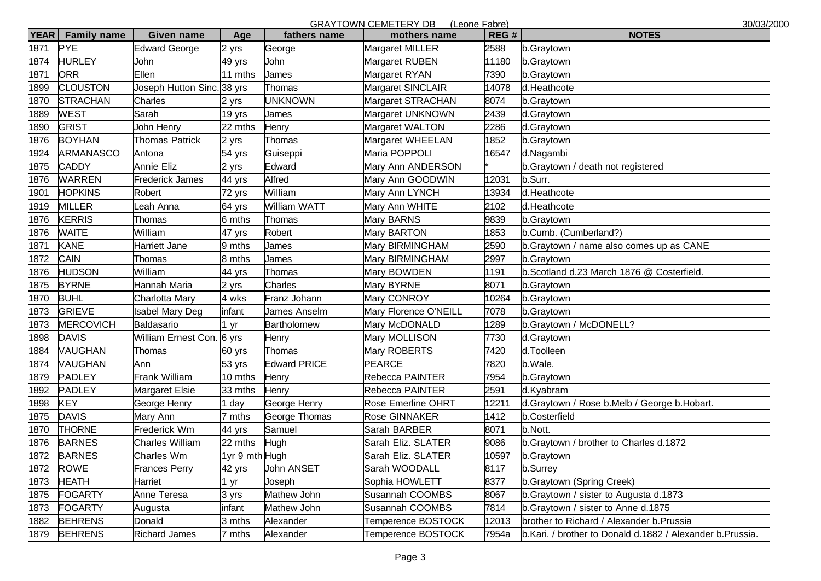|             |                    |                                       |                |                     | <b>GRAYTOWN CEMETERY DB</b><br>(Leone Fabre) |       | 30/03/2000                                                |
|-------------|--------------------|---------------------------------------|----------------|---------------------|----------------------------------------------|-------|-----------------------------------------------------------|
| <b>YEAR</b> | <b>Family name</b> | Given name                            | Age            | fathers name        | mothers name                                 | REG#  | <b>NOTES</b>                                              |
| 1871        | <b>PYE</b>         | <b>Edward George</b>                  | 2 yrs          | George              | Margaret MILLER                              | 2588  | b.Graytown                                                |
| 1874        | <b>HURLEY</b>      | John                                  | 49 yrs         | John                | Margaret RUBEN                               | 11180 | b.Graytown                                                |
| 1871        | <b>ORR</b>         | Ellen                                 | 11 mths        | James               | Margaret RYAN                                | 7390  | b.Graytown                                                |
| 1899        | <b>CLOUSTON</b>    | Joseph Hutton Sinc. <sup>38</sup> yrs |                | Thomas              | Margaret SINCLAIR                            | 14078 | d.Heathcote                                               |
| 1870        | <b>STRACHAN</b>    | Charles                               | 2 yrs          | <b>UNKNOWN</b>      | Margaret STRACHAN                            | 8074  | b.Graytown                                                |
| 1889        | <b>WEST</b>        | Sarah                                 | 19 yrs         | James               | Margaret UNKNOWN                             | 2439  | d.Graytown                                                |
| 1890        | <b>GRIST</b>       | John Henry                            | 22 mths        | Henry               | Margaret WALTON                              | 2286  | d.Graytown                                                |
| 1876        | <b>BOYHAN</b>      | <b>Thomas Patrick</b>                 | 2 yrs          | Thomas              | Margaret WHEELAN                             | 1852  | b.Graytown                                                |
| 1924        | <b>ARMANASCO</b>   | Antona                                | 54 yrs         | Guiseppi            | Maria POPPOLI                                | 16547 | d.Nagambi                                                 |
| 1875        | <b>CADDY</b>       | <b>Annie Eliz</b>                     | 2 yrs          | Edward              | Mary Ann ANDERSON                            |       | b. Graytown / death not registered                        |
| 1876        | <b>WARREN</b>      | Frederick James                       | 44 yrs         | Alfred              | Mary Ann GOODWIN                             | 12031 | b.Surr.                                                   |
| 1901        | <b>HOPKINS</b>     | Robert                                | 72 yrs         | William             | Mary Ann LYNCH                               | 13934 | d.Heathcote                                               |
| 1919        | <b>MILLER</b>      | eah Anna                              | 64 yrs         | William WATT        | Mary Ann WHITE                               | 2102  | d.Heathcote                                               |
| 1876        | <b>KERRIS</b>      | Thomas                                | 6 mths         | Thomas              | Mary BARNS                                   | 9839  | b.Graytown                                                |
| 1876        | <b>WAITE</b>       | William                               | 47 yrs         | Robert              | Mary BARTON                                  | 1853  | b.Cumb. (Cumberland?)                                     |
| 1871        | <b>KANE</b>        | Harriett Jane                         | 9 mths         | James               | Mary BIRMINGHAM                              | 2590  | b.Graytown / name also comes up as CANE                   |
| 1872        | <b>CAIN</b>        | Thomas                                | 8 mths         | James               | Mary BIRMINGHAM                              | 2997  | b.Graytown                                                |
| 1876        | <b>HUDSON</b>      | William                               | 44 yrs         | Thomas              | Mary BOWDEN                                  | 1191  | b.Scotland d.23 March 1876 @ Costerfield.                 |
| 1875        | <b>BYRNE</b>       | Hannah Maria                          | 2 yrs          | Charles             | Mary BYRNE                                   | 8071  | b.Graytown                                                |
| 1870        | <b>BUHL</b>        | Charlotta Mary                        | 4 wks          | Franz Johann        | Mary CONROY                                  | 10264 | b.Graytown                                                |
| 1873        | <b>GRIEVE</b>      | <b>Isabel Mary Deg</b>                | infant         | James Anselm        | Mary Florence O'NEILL                        | 7078  | b.Graytown                                                |
| 1873        | <b>MERCOVICH</b>   | Baldasario                            | 1 yr           | <b>Bartholomew</b>  | Mary McDONALD                                | 1289  | b.Graytown / McDONELL?                                    |
| 1898        | <b>DAVIS</b>       | William Ernest Con. 6 yrs             |                | Henry               | Mary MOLLISON                                | 7730  | d.Graytown                                                |
| 1884        | <b>VAUGHAN</b>     | Thomas                                | 60 yrs         | Thomas              | Mary ROBERTS                                 | 7420  | d.Toolleen                                                |
| 1874        | <b>VAUGHAN</b>     | Ann                                   | 53 yrs         | <b>Edward PRICE</b> | <b>PEARCE</b>                                | 7820  | b.Wale.                                                   |
| 1879        | <b>PADLEY</b>      | Frank William                         | 10 mths        | Henry               | Rebecca PAINTER                              | 7954  | b.Graytown                                                |
| 1892        | <b>PADLEY</b>      | Margaret Elsie                        | 33 mths        | Henry               | Rebecca PAINTER                              | 2591  | d.Kyabram                                                 |
| 1898        | <b>KEY</b>         | George Henry                          | day            | George Henry        | <b>Rose Emerline OHRT</b>                    | 12211 | d.Graytown / Rose b.Melb / George b.Hobart.               |
| 1875        | <b>DAVIS</b>       | Mary Ann                              | 7 mths         | George Thomas       | Rose GINNAKER                                | 1412  | b.Costerfield                                             |
| 1870        | <b>THORNE</b>      | Frederick Wm                          | 44 yrs         | Samuel              | Sarah BARBER                                 | 8071  | b.Nott.                                                   |
| 1876        | <b>BARNES</b>      | Charles William                       | 22 mths        | Hugh                | Sarah Eliz. SLATER                           | 9086  | b. Graytown / brother to Charles d. 1872                  |
|             | 1872 BARNES        | Charles Wm                            | 1yr 9 mth Hugh |                     | Sarah Eliz. SLATER                           | 10597 | b.Graytown                                                |
|             | 1872 ROWE          | Frances Perry                         | 42 yrs         | <b>John ANSET</b>   | Sarah WOODALL                                | 8117  | b.Surrey                                                  |
|             | 1873 HEATH         | Harriet                               | 1 yr           | Joseph              | Sophia HOWLETT                               | 8377  | b.Graytown (Spring Creek)                                 |
|             | 1875 FOGARTY       | Anne Teresa                           | 3 yrs          | Mathew John         | Susannah COOMBS                              | 8067  | b. Graytown / sister to Augusta d. 1873                   |
|             | 1873 FOGARTY       | Augusta                               | infant         | Mathew John         | Susannah COOMBS                              | 7814  | b. Graytown / sister to Anne d. 1875                      |
|             | 1882 BEHRENS       | Donald                                | 3 mths         | Alexander           | Temperence BOSTOCK                           | 12013 | brother to Richard / Alexander b. Prussia                 |
|             | 1879 BEHRENS       | <b>Richard James</b>                  | 7 mths         | Alexander           | Temperence BOSTOCK                           | 7954a | b.Kari. / brother to Donald d.1882 / Alexander b.Prussia. |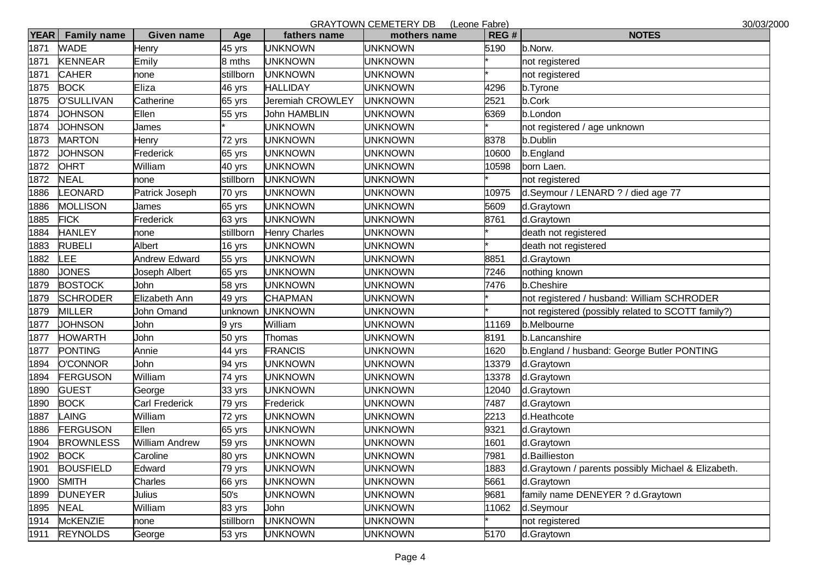|             |                    |                      |           |                      | GRAYTOWN CEMETERY DB (Leone Fabre) |       | 30/03/2000                                         |
|-------------|--------------------|----------------------|-----------|----------------------|------------------------------------|-------|----------------------------------------------------|
| <b>YEAR</b> | <b>Family name</b> | <b>Given name</b>    | Age       | fathers name         | mothers name                       | REG#  | <b>NOTES</b>                                       |
| 1871        | <b>WADE</b>        | Henry                | 45 yrs    | <b>JNKNOWN</b>       | <b>JNKNOWN</b>                     | 5190  | b.Norw.                                            |
| 1871        | <b>KENNEAR</b>     | Emily                | 8 mths    | <b>UNKNOWN</b>       | JNKNOWN                            |       | not registered                                     |
| 1871        | <b>CAHER</b>       | none                 | stillborn | <b>UNKNOWN</b>       | <b>JNKNOWN</b>                     |       | not registered                                     |
| 1875        | <b>BOCK</b>        | Eliza                | 46 yrs    | <b>HALLIDAY</b>      | JNKNOWN                            | 4296  | b.Tyrone                                           |
| 1875        | <b>O'SULLIVAN</b>  | Catherine            | 65 yrs    | Jeremiah CROWLEY     | UNKNOWN                            | 2521  | b.Cork                                             |
| 1874        | <b>JOHNSON</b>     | Ellen                | 55 yrs    | John HAMBLIN         | JNKNOWN                            | 6369  | b.London                                           |
| 1874        | <b>JOHNSON</b>     | James                |           | <b>UNKNOWN</b>       | <b>JNKNOWN</b>                     |       | not registered / age unknown                       |
| 1873        | <b>MARTON</b>      | Henry                | 72 yrs    | <b>UNKNOWN</b>       | <b>JNKNOWN</b>                     | 8378  | b.Dublin                                           |
| 1872        | <b>JOHNSON</b>     | Frederick            | 65 yrs    | <b>UNKNOWN</b>       | <b>JNKNOWN</b>                     | 10600 | b.England                                          |
| 1872        | <b>OHRT</b>        | William              | 40 yrs    | <b>UNKNOWN</b>       | JNKNOWN                            | 10598 | born Laen.                                         |
| 1872        | <b>NEAL</b>        | none                 | stillborn | <b>UNKNOWN</b>       | <b>JNKNOWN</b>                     |       | not registered                                     |
| 1886        | <b>EONARD</b>      | Patrick Joseph       | 70 yrs    | <b>UNKNOWN</b>       | JNKNOWN                            | 10975 | d.Seymour / LENARD ? / died age 77                 |
| 1886        | <b>MOLLISON</b>    | James                | 65 yrs    | <b>UNKNOWN</b>       | JNKNOWN                            | 5609  | d.Graytown                                         |
| 1885        | <b>FICK</b>        | Frederick            | 63 yrs    | <b>UNKNOWN</b>       | JNKNOWN                            | 8761  | d.Graytown                                         |
| 1884        | <b>HANLEY</b>      | none                 | stillborn | <b>Henry Charles</b> | <b>JNKNOWN</b>                     |       | death not registered                               |
| 1883        | <b>RUBELI</b>      | Albert               | 16 yrs    | <b>UNKNOWN</b>       | <b>JNKNOWN</b>                     |       | death not registered                               |
| 1882        | <b>EE</b>          | <b>Andrew Edward</b> | 55 yrs    | <b>UNKNOWN</b>       | <b>JNKNOWN</b>                     | 8851  | d.Graytown                                         |
| 1880        | <b>JONES</b>       | Joseph Albert        | 65 yrs    | <b>UNKNOWN</b>       | JNKNOWN                            | 7246  | nothing known                                      |
| 1879        | <b>BOSTOCK</b>     | John                 | 58 yrs    | <b>UNKNOWN</b>       | <b>JNKNOWN</b>                     | 7476  | b.Cheshire                                         |
| 1879        | <b>SCHRODER</b>    | Elizabeth Ann        | 49 yrs    | <b>CHAPMAN</b>       | JNKNOWN                            |       | not registered / husband: William SCHRODER         |
| 1879        | <b>MILLER</b>      | John Omand           | unknown   | <b>UNKNOWN</b>       | <b>JNKNOWN</b>                     |       | not registered (possibly related to SCOTT family?) |
| 1877        | <b>JOHNSON</b>     | John                 | 9 yrs     | William              | JNKNOWN                            | 11169 | b.Melbourne                                        |
| 1877        | <b>HOWARTH</b>     | John                 | 50 yrs    | Thomas               | <b>JNKNOWN</b>                     | 8191  | b.Lancanshire                                      |
| 1877        | <b>PONTING</b>     | Annie                | 44 yrs    | <b>FRANCIS</b>       | JNKNOWN                            | 1620  | b.England / husband: George Butler PONTING         |
| 1894        | <b>O'CONNOR</b>    | John                 | 94 yrs    | <b>JNKNOWN</b>       | <b>JNKNOWN</b>                     | 13379 | d.Graytown                                         |
| 1894        | <b>FERGUSON</b>    | William              | 74 yrs    | <b>UNKNOWN</b>       | JNKNOWN                            | 13378 | d.Graytown                                         |
| 1890        | <b>GUEST</b>       | George               | 33 yrs    | <b>UNKNOWN</b>       | <b>JNKNOWN</b>                     | 12040 | d.Graytown                                         |
| 1890        | <b>BOCK</b>        | Carl Frederick       | 79 yrs    | Frederick            | JNKNOWN                            | 7487  | d.Graytown                                         |
| 1887        | LAING              | William              | 72 yrs    | <b>JNKNOWN</b>       | <b>JNKNOWN</b>                     | 2213  | d.Heathcote                                        |
| 1886        | <b>FERGUSON</b>    | Ellen                | 65 yrs    | <b>UNKNOWN</b>       | JNKNOWN                            | 9321  | d.Graytown                                         |
| 1904        | <b>BROWNLESS</b>   | William Andrew       | 59 yrs    | <b>UNKNOWN</b>       | <b>JNKNOWN</b>                     | 1601  | d.Graytown                                         |
|             | 1902 BOCK          | Caroline             | 80 yrs    | <b>UNKNOWN</b>       | <b>UNKNOWN</b>                     | 7981  | d.Baillieston                                      |
| 1901        | <b>BOUSFIELD</b>   | Edward               | 79 yrs    | <b>UNKNOWN</b>       | <b>JNKNOWN</b>                     | 1883  | d.Graytown / parents possibly Michael & Elizabeth. |
| 1900        | <b>SMITH</b>       | Charles              | 66 yrs    | UNKNOWN              | <b>JNKNOWN</b>                     | 5661  | d.Graytown                                         |
| 1899        | <b>DUNEYER</b>     | Julius               | 50's      | <b>UNKNOWN</b>       | <b>JNKNOWN</b>                     | 9681  | family name DENEYER ? d.Graytown                   |
| 1895        | <b>NEAL</b>        | William              | 83 yrs    | John                 | <b>JNKNOWN</b>                     | 11062 | d.Seymour                                          |
|             | 1914 McKENZIE      | none                 | stillborn | <b>UNKNOWN</b>       | <b>JNKNOWN</b>                     |       | not registered                                     |
|             | 1911 REYNOLDS      | George               | 53 yrs    | UNKNOWN              | <b>JNKNOWN</b>                     | 5170  | d.Graytown                                         |